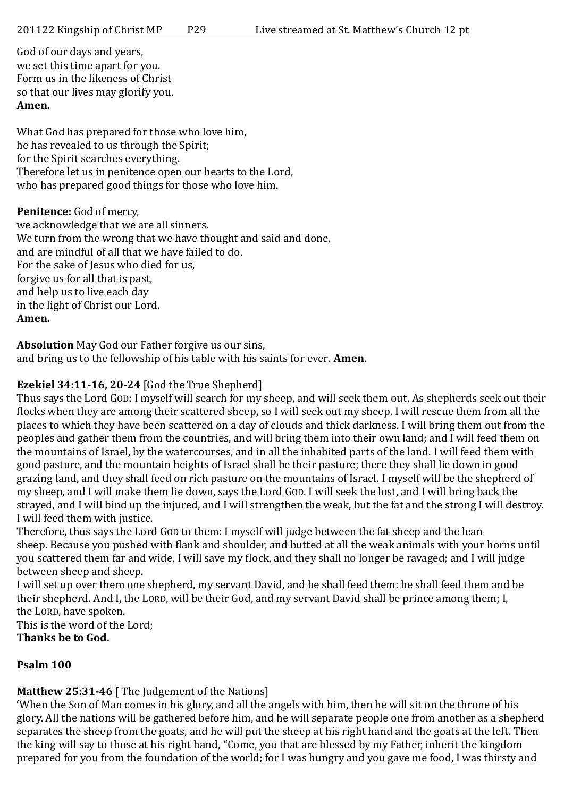God of our days and years, we set this time apart for you. Form us in the likeness of Christ so that our lives may glorify you. **Amen.**

What God has prepared for those who love him, he has revealed to us through the Spirit; for the Spirit searches everything. Therefore let us in penitence open our hearts to the Lord, who has prepared good things for those who love him.

**Penitence:** God of mercy,

we acknowledge that we are all sinners. We turn from the wrong that we have thought and said and done, and are mindful of all that we have failed to do. For the sake of Jesus who died for us. forgive us for all that is past, and help us to live each day in the light of Christ our Lord. **Amen.**

**Absolution** May God our Father forgive us our sins, and bring us to the fellowship of his table with his saints for ever. **Amen**.

# **Ezekiel 34:11-16, 20-24** [God the True Shepherd]

Thus says the Lord GOD: I myself will search for my sheep, and will seek them out. As shepherds seek out their flocks when they are among their scattered sheep, so I will seek out my sheep. I will rescue them from all the places to which they have been scattered on a day of clouds and thick darkness. I will bring them out from the peoples and gather them from the countries, and will bring them into their own land; and I will feed them on the mountains of Israel, by the watercourses, and in all the inhabited parts of the land. I will feed them with good pasture, and the mountain heights of Israel shall be their pasture; there they shall lie down in good grazing land, and they shall feed on rich pasture on the mountains of Israel. I myself will be the shepherd of my sheep, and I will make them lie down, says the Lord GOD. I will seek the lost, and I will bring back the strayed, and I will bind up the injured, and I will strengthen the weak, but the fat and the strong I will destroy. I will feed them with justice.

Therefore, thus says the Lord GOD to them: I myself will judge between the fat sheep and the lean sheep. Because you pushed with flank and shoulder, and butted at all the weak animals with your horns until you scattered them far and wide, I will save my flock, and they shall no longer be ravaged; and I will judge between sheep and sheep.

I will set up over them one shepherd, my servant David, and he shall feed them: he shall feed them and be their shepherd. And I, the LORD, will be their God, and my servant David shall be prince among them; I, the LORD, have spoken.

This is the word of the Lord; **Thanks be to God.**

# **Psalm 100**

# Matthew 25:31-46 | The Judgement of the Nations]

'When the Son of Man comes in his glory, and all the angels with him, then he will sit on the throne of his glory. All the nations will be gathered before him, and he will separate people one from another as a shepherd separates the sheep from the goats, and he will put the sheep at his right hand and the goats at the left. Then the king will say to those at his right hand, "Come, you that are blessed by my Father, inherit the kingdom prepared for you from the foundation of the world; for I was hungry and you gave me food, I was thirsty and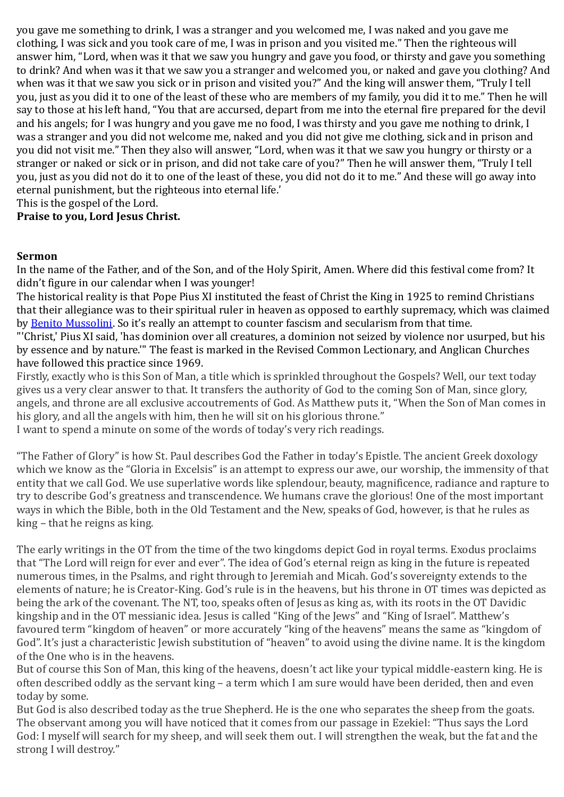you gave me something to drink, I was a stranger and you welcomed me, I was naked and you gave me clothing, I was sick and you took care of me, I was in prison and you visited me." Then the righteous will answer him, "Lord, when was it that we saw you hungry and gave you food, or thirsty and gave you something to drink? And when was it that we saw you a stranger and welcomed you, or naked and gave you clothing? And when was it that we saw you sick or in prison and visited you?" And the king will answer them, "Truly I tell you, just as you did it to one of the least of these who are members of my family, you did it to me." Then he will say to those at his left hand, "You that are accursed, depart from me into the eternal fire prepared for the devil and his angels; for I was hungry and you gave me no food, I was thirsty and you gave me nothing to drink, I was a stranger and you did not welcome me, naked and you did not give me clothing, sick and in prison and you did not visit me." Then they also will answer, "Lord, when was it that we saw you hungry or thirsty or a stranger or naked or sick or in prison, and did not take care of you?" Then he will answer them, "Truly I tell you, just as you did not do it to one of the least of these, you did not do it to me." And these will go away into eternal punishment, but the righteous into eternal life.'

This is the gospel of the Lord.

# **Praise to you, Lord Jesus Christ.**

### **Sermon**

In the name of the Father, and of the Son, and of the Holy Spirit, Amen. Where did this festival come from? It didn't figure in our calendar when I was younger!

The historical reality is that Pope Pius XI instituted the feast of Christ the King in 1925 to remind Christians that their allegiance was to their spiritual ruler [in heaven](http://en.wikipedia.org/wiki/Session_of_Christ) as opposed to earthly supremacy, which was claimed by [Benito Mussolini.](http://en.wikipedia.org/wiki/Benito_Mussolini) So it's really an attempt to counter fascism and secularism from that time.

"'Christ,' Pius XI said, 'has dominion over all creatures, a dominion not seized by violence nor usurped, but his by essence and by nature.'" The feast is marked in the Revised Common Lectionary, and Anglican Churches have followed this practice since 1969.

Firstly, exactly who is this Son of Man, a title which is sprinkled throughout the Gospels? Well, our text today gives us a very clear answer to that. It transfers the authority of God to the coming Son of Man, since glory, angels, and throne are all exclusive accoutrements of God. As Matthew puts it, "When the Son of Man comes in his glory, and all the angels with him, then he will sit on his glorious throne."

I want to spend a minute on some of the words of today's very rich readings.

"The Father of Glory" is how St. Paul describes God the Father in today's Epistle. The ancient Greek doxology which we know as the "Gloria in Excelsis" is an attempt to express our awe, our worship, the immensity of that entity that we call God. We use superlative words like splendour, beauty, magnificence, radiance and rapture to try to describe God's greatness and transcendence. We humans crave the glorious! One of the most important ways in which the Bible, both in the Old Testament and the New, speaks of God, however, is that he rules as king – that he reigns as king.

The early writings in the OT from the time of the two kingdoms depict God in royal terms. Exodus proclaims that "The Lord will reign for ever and ever". The idea of God's eternal reign as king in the future is repeated numerous times, in the Psalms, and right through to Jeremiah and Micah. God's sovereignty extends to the elements of nature; he is Creator-King. God's rule is in the heavens, but his throne in OT times was depicted as being the ark of the covenant. The NT, too, speaks often of Jesus as king as, with its roots in the OT Davidic kingship and in the OT messianic idea. Jesus is called "King of the Jews" and "King of Israel". Matthew's favoured term "kingdom of heaven" or more accurately "king of the heavens" means the same as "kingdom of God". It's just a characteristic Jewish substitution of "heaven" to avoid using the divine name. It is the kingdom of the One who is in the heavens.

But of course this Son of Man, this king of the heavens, doesn't act like your typical middle-eastern king. He is often described oddly as the servant king – a term which I am sure would have been derided, then and even today by some.

But God is also described today as the true Shepherd. He is the one who separates the sheep from the goats. The observant among you will have noticed that it comes from our passage in Ezekiel: "Thus says the Lord God: I myself will search for my sheep, and will seek them out. I will strengthen the weak, but the fat and the strong I will destroy."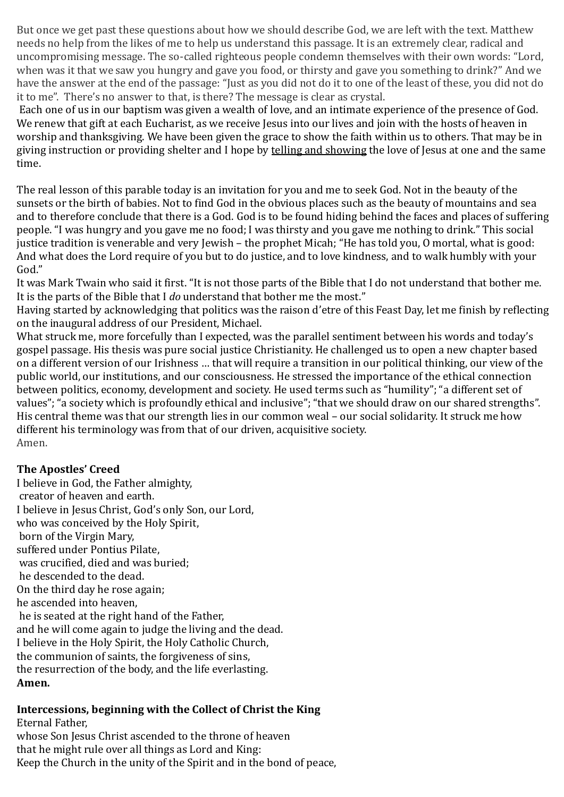But once we get past these questions about how we should describe God, we are left with the text. Matthew needs no help from the likes of me to help us understand this passage. It is an extremely clear, radical and uncompromising message. The so-called righteous people condemn themselves with their own words: "Lord, when was it that we saw you hungry and gave you food, or thirsty and gave you something to drink?" And we have the answer at the end of the passage: "Just as you did not do it to one of the least of these, you did not do it to me". There's no answer to that, is there? The message is clear as crystal.

Each one of us in our baptism was given a wealth of love, and an intimate experience of the presence of God. We renew that gift at each Eucharist, as we receive Jesus into our lives and join with the hosts of heaven in worship and thanksgiving. We have been given the grace to show the faith within us to others. That may be in giving instruction or providing shelter and I hope by telling and showing the love of Jesus at one and the same time.

The real lesson of this parable today is an invitation for you and me to seek God. Not in the beauty of the sunsets or the birth of babies. Not to find God in the obvious places such as the beauty of mountains and sea and to therefore conclude that there is a God. God is to be found hiding behind the faces and places of suffering people. "I was hungry and you gave me no food; I was thirsty and you gave me nothing to drink." This social justice tradition is venerable and very Jewish – the prophet Micah; "He has told you, O mortal, what is good: And what does the Lord require of you but to do justice, and to love kindness, and to walk humbly with your God."

It was Mark Twain who said it first. "It is not those parts of the Bible that I do not understand that bother me. It is the parts of the Bible that I *do* understand that bother me the most."

Having started by acknowledging that politics was the raison d'etre of this Feast Day, let me finish by reflecting on the inaugural address of our President, Michael.

What struck me, more forcefully than I expected, was the parallel sentiment between his words and today's gospel passage. His thesis was pure social justice Christianity. He challenged us to open a new chapter based on a different version of our Irishness … that will require a transition in our political thinking, our view of the public world, our institutions, and our consciousness. He stressed the importance of the ethical connection between politics, economy, development and society. He used terms such as "humility"; "a different set of values"; "a society which is profoundly ethical and inclusive"; "that we should draw on our shared strengths". His central theme was that our strength lies in our common weal – our social solidarity. It struck me how different his terminology was from that of our driven, acquisitive society. Amen.

# **The Apostles' Creed**

I believe in God, the Father almighty, creator of heaven and earth. I believe in Jesus Christ, God's only Son, our Lord, who was conceived by the Holy Spirit, born of the Virgin Mary, suffered under Pontius Pilate, was crucified, died and was buried; he descended to the dead. On the third day he rose again; he ascended into heaven, he is seated at the right hand of the Father, and he will come again to judge the living and the dead. I believe in the Holy Spirit, the Holy Catholic Church, the communion of saints, the forgiveness of sins, the resurrection of the body, and the life everlasting. **Amen.** 

### **Intercessions, beginning with the Collect of Christ the King**

Eternal Father, whose Son Jesus Christ ascended to the throne of heaven that he might rule over all things as Lord and King: Keep the Church in the unity of the Spirit and in the bond of peace,